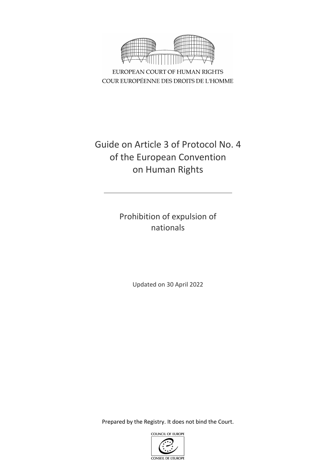

EUROPEAN COURT OF HUMAN RIGHTS COUR EUROPÉENNE DES DROITS DE L'HOMME

# Guide on Article 3 of Protocol No. 4 of the European Convention on Human Rights

Prohibition of expulsion of nationals

Updated on 30 April 2022

Prepared by the Registry. It does not bind the Court.

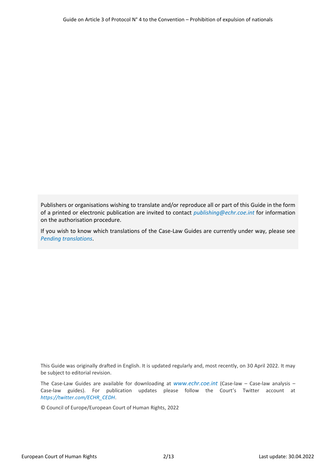Publishers or organisations wishing to translate and/or reproduce all or part of this Guide in the form of a printed or electronic publication are invited to contact *[publishing@echr.coe.int](mailto:publishing@echr.coe.int)* for information on the authorisation procedure.

If you wish to know which translations of the Case-Law Guides are currently under way, please see *[Pending translations](http://www.echr.coe.int/Documents/Translations_pending_ENG.pdf)*.

This Guide was originally drafted in English. It is updated regularly and, most recently, on 30 April 2022. It may be subject to editorial revision.

The Case-Law Guides are available for downloading at *[www.echr.coe.int](http://www.echr.coe.int/Pages/home.aspx?p=caselaw/analysis/guides&c=)* (Case-law – Case-law analysis – Case-law guides). For publication updates please follow the Court's Twitter account at *https://twitter.com/ECHR\_CEDH*.

© Council of Europe/European Court of Human Rights, 2022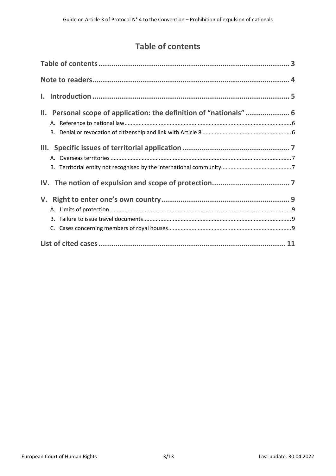## **Table of contents**

<span id="page-2-0"></span>

| II. Personal scope of application: the definition of "nationals" 6 |
|--------------------------------------------------------------------|
|                                                                    |
|                                                                    |
|                                                                    |
|                                                                    |
|                                                                    |
|                                                                    |
|                                                                    |
|                                                                    |
|                                                                    |
|                                                                    |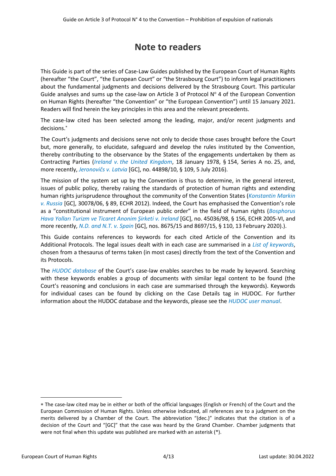# **Note to readers**

<span id="page-3-0"></span>This Guide is part of the series of Case-Law Guides published by the European Court of Human Rights (hereafter "the Court", "the European Court" or "the Strasbourg Court") to inform legal practitioners about the fundamental judgments and decisions delivered by the Strasbourg Court. This particular Guide analyses and sums up the case-law on Article 3 of Protocol  $N^{\circ}$  4 of the European Convention on Human Rights (hereafter "the Convention" or "the European Convention") until 15 January 2021. Readers will find herein the key principles in this area and the relevant precedents.

The case-law cited has been selected among the leading, major, and/or recent judgments and decisions.

The Court's judgments and decisions serve not only to decide those cases brought before the Court but, more generally, to elucidate, safeguard and develop the rules instituted by the Convention, thereby contributing to the observance by the States of the engagements undertaken by them as Contracting Parties (*Ireland v. [the United Kingdom](http://hudoc.echr.coe.int/eng?i=001-57506)*, 18 January 1978, § 154, Series A no. 25, and, more recently, *[Jeronovičs](http://hudoc.echr.coe.int/eng?i=001-165032) v. Latvia* [GC], no. 44898/10, § 109, 5 July 2016).

The mission of the system set up by the Convention is thus to determine, in the general interest, issues of public policy, thereby raising the standards of protection of human rights and extending human rights jurisprudence throughout the community of the Convention States (*[Konstantin Markin](http://hudoc.echr.coe.int/eng?i=001-109868) v. [Russia](http://hudoc.echr.coe.int/eng?i=001-109868)* [GC], 30078/06, § 89, ECHR 2012). Indeed, the Court has emphasised the Convention's role as a "constitutional instrument of European public order" in the field of human rights (*[Bosphorus](http://hudoc.echr.coe.int/eng?i=001-69564)  [Hava Yolları Turizm ve Ticaret Anonim Şirketi](http://hudoc.echr.coe.int/eng?i=001-69564) v. Ireland* [GC], no. 45036/98, § 156, ECHR 2005-VI, and more recently, *[N.D. and N.T. v. Spain](http://hudoc.echr.coe.int/eng?i=001-201353)* [GC], nos. 8675/15 and 8697/15, § 110, 13 February 2020).).

This Guide contains references to keywords for each cited Article of the Convention and its Additional Protocols. The legal issues dealt with in each case are summarised in a *[List of keywords](http://www.echr.coe.int/Documents/HUDOC_Keywords_ENG.pdf)*, chosen from a thesaurus of terms taken (in most cases) directly from the text of the Convention and its Protocols.

The *[HUDOC database](http://hudoc.echr.coe.int/)* of the Court's case-law enables searches to be made by keyword. Searching with these keywords enables a group of documents with similar legal content to be found (the Court's reasoning and conclusions in each case are summarised through the keywords). Keywords for individual cases can be found by clicking on the Case Details tag in HUDOC. For further information about the HUDOC database and the keywords, please see the *[HUDOC user manual](https://www.echr.coe.int/Documents/HUDOC_Manual_ENG.PDF)*.

The case-law cited may be in either or both of the official languages (English or French) of the Court and the European Commission of Human Rights. Unless otherwise indicated, all references are to a judgment on the merits delivered by a Chamber of the Court. The abbreviation "(dec.)" indicates that the citation is of a decision of the Court and "[GC]" that the case was heard by the Grand Chamber. Chamber judgments that were not final when this update was published are marked with an asterisk (\*).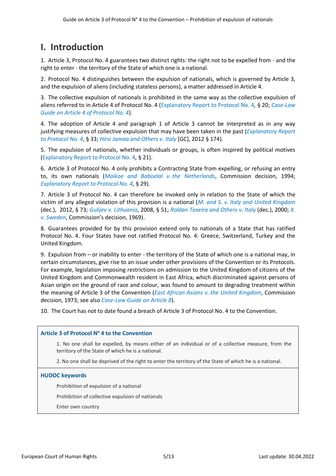# <span id="page-4-0"></span>**I. Introduction**

1. Article 3, Protocol No. 4 guarantees two distinct rights: the right not to be expelled from - and the right to enter - the territory of the State of which one is a national.

2. Protocol No. 4 distinguishes between the expulsion of nationals, which is governed by Article 3, and the expulsion of aliens (including stateless persons), a matter addressed in Article 4.

3. The collective expulsion of nationals is prohibited in the same way as the collective expulsion of aliens referred to in Article 4 of Protocol No. 4 [\(Explanatory Report to Protocol No. 4](https://rm.coe.int/16800c92c0)*,* § 20; *[Case-Law](https://www.echr.coe.int/Documents/Guide_Art_4_Protocol_4_ENG.pdf)  [Guide on Article 4 of Protocol No. 4](https://www.echr.coe.int/Documents/Guide_Art_4_Protocol_4_ENG.pdf)*).

4. The adoption of Article 4 and paragraph 1 of Article 3 cannot be interpreted as in any way justifying measures of collective expulsion that may have been taken in the past (*[Explanatory Report](https://rm.coe.int/16800c92c0)  [to Protocol No. 4](https://rm.coe.int/16800c92c0)*, § 33; *[Hirsi Jamaa and Others](http://hudoc.echr.coe.int/eng?i=001-109231) v. Italy* [GC], 2012 § 174).

5. The expulsion of nationals, whether individuals or groups, is often inspired by political motives [\(Explanatory Report to Protocol No. 4](https://rm.coe.int/16800c92c0)*,* § 21).

6. Article 3 of Protocol No. 4 only prohibits a Contracting State from expelling, or refusing an entry to, its own nationals (*[Maikoe and Baboelal](http://hudoc.echr.coe.int/eng?i=001-2431) v. the Netherlands*, Commission decision, 1994; *[Explanatory Report to Protocol No. 4](https://rm.coe.int/16800c92c0)*, § 29).

7. Article 3 of Protocol No. 4 can therefore be invoked only in relation to the State of which the victim of any alleged violation of this provision is a national (*M. and S. v. [Italy and United Kingdom](http://hudoc.echr.coe.int/eng?i=001-110195)* (dec.), 2012, § 73; *Gulijev v. [Lithuania](http://hudoc.echr.coe.int/eng?i=001-90270)*, 2008, § 51; *[Roldan Texeira and Others](http://hudoc.echr.coe.int/eng?i=001-31594) v. Italy* (dec.), 2000; *[X.](http://hudoc.echr.coe.int/eng?i=001-3084) v. [Sweden](http://hudoc.echr.coe.int/eng?i=001-3084)*, Commission's decision, 1969).

8. Guarantees provided for by this provision extend only to nationals of a State that has ratified Protocol No. 4. Four States have not ratified Protocol No. 4: Greece, Switzerland, Turkey and the United Kingdom.

9. Expulsion from – or inability to enter - the territory of the State of which one is a national may, in certain circumstances, give rise to an issue under other provisions of the Convention or its Protocols. For example, legislation imposing restrictions on admission to the United Kingdom of citizens of the United Kingdom and Commonwealth resident in East Africa, which discriminated against persons of Asian origin on the ground of race and colour, was found to amount to degrading treatment within the meaning of Article 3 of the Convention (*East African Asians v. [the United Kingdom](http://hudoc.echr.coe.int/eng?i=001-73658)*, Commission decision, 1973; see also *[Case-Law Guide on Article 8](https://www.echr.coe.int/Documents/Guide_Art_8_ENG.pdf)*).

10. The Court has not to date found a breach of Article 3 of Protocol No. 4 to the Convention.

## **Article 3 of Protocol N<sup>o</sup> 4 to the Convention**

1. No one shall be expelled, by means either of an individual or of a collective measure, from the territory of the State of which he is a national.

2. No one shall be deprived of the right to enter the territory of the State of which he is a national.

#### **HUDOC keywords**

Prohibition of expulsion of a national

Prohibition of collective expulsion of nationals

Enter own country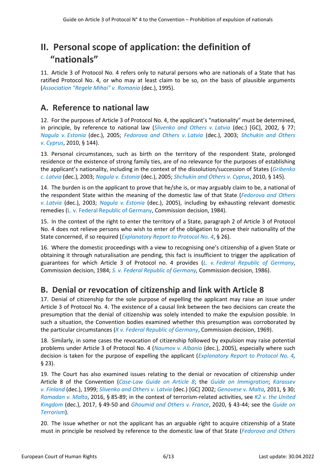# <span id="page-5-0"></span>**II. Personal scope of application: the definition of "nationals"**

11. Article 3 of Protocol No. 4 refers only to natural persons who are nationals of a State that has ratified Protocol No. 4, or who may at least claim to be so, on the basis of plausible arguments (*[Association "Regele Mihai"](http://hudoc.echr.coe.int/eng?i=001-26685) v. Romania* (dec.), 1995).

## <span id="page-5-1"></span>**A. Reference to national law**

12. For the purposes of Article 3 of Protocol No. 4, the applicant's "nationality" must be determined, in principle, by reference to national law (*[Slivenko and Others](http://hudoc.echr.coe.int/fre?i=001-22231) v. Latvia* (dec.) [GC], 2002, § 77; *Nagula v. [Estonia](http://hudoc.echr.coe.int/fre?i=001-71083)* (dec.), 2005; *[Fedorova and Others](http://hudoc.echr.coe.int/eng?i=001-44514) v. Latvia* (dec.), 2003; *[Shchukin and Others](http://hudoc.echr.coe.int/eng?i=001-100093) v. [Cyprus](http://hudoc.echr.coe.int/eng?i=001-100093)*, 2010, § 144).

13. Personal circumstances, such as birth on the territory of the respondent State, prolonged residence or the existence of strong family ties, are of no relevance for the purposes of establishing the applicant's nationality, including in the context of the dissolution/succession of States (*[Gribenko](http://hudoc.echr.coe.int/eng?i=001-44239)  [c. Latvia](http://hudoc.echr.coe.int/eng?i=001-44239)* (dec.), 2003; *Nagula v. [Estonia](http://hudoc.echr.coe.int/fre?i=001-71083)* (dec.), 2005; *[Shchukin and Others](http://hudoc.echr.coe.int/eng?i=001-100093) v. Cyprus*, 2010, § 145).

14. The burden is on the applicant to prove that he/she is, or may arguably claim to be, a national of the respondent State within the meaning of the domestic law of that State (*[Fedorova and Others](http://hudoc.echr.coe.int/eng?i=001-44514) v. [Latvia](http://hudoc.echr.coe.int/eng?i=001-44514)* (dec.), 2003; *Nagula v. [Estonia](http://hudoc.echr.coe.int/fre?i=001-71083)* (dec.), 2005), including by exhausting relevant domestic remedies (L. v. [Federal Republic of Germany,](https://hudoc.echr.coe.int/eng#{%22appno%22:[%2210564/83%22]}) Commission decision, 1984).

15. In the context of the right to enter the territory of a State, paragraph 2 of Article 3 of Protocol No. 4 does not relieve persons who wish to enter of the obligation to prove their nationality of the State concerned, if so required (*[Explanatory Report to Protocol No. 4](https://rm.coe.int/16800c92c0)*, § 26).

16. Where the domestic proceedings with a view to recognising one's citizenship of a given State or obtaining it through naturalisation are pending, this fact is insufficient to trigger the application of guarantees for which Article 3 of Protocol no. 4 provides (*L. v. [Federal Republic of Germany](https://hudoc.echr.coe.int/eng#{%22appno%22:[%2210564/83%22]})*, Commission decision, 1984; *S. v. [Federal Republic of Germany,](http://hudoc.echr.coe.int/eng?i=001-24305)* Commission decision, 1986).

## <span id="page-5-2"></span>**B. Denial or revocation of citizenship and link with Article 8**

17. Denial of citizenship for the sole purpose of expelling the applicant may raise an issue under Article 3 of Protocol No. 4. The existence of a causal link between the two decisions can create the presumption that the denial of citizenship was solely intended to make the expulsion possible. In such a situation, the Convention bodies examined whether this presumption was corroborated by the particular circumstances (*X v. [Federal Republic of Germany](http://hudoc.echr.coe.int/eng?i=001-27925)*, Commission decision, 1969).

18. Similarly, in some cases the revocation of citizenship followed by expulsion may raise potential problems under Article 3 of Protocol No. 4 (*[Naumov](http://hudoc.echr.coe.int/eng?i=001-68206) v. Albania* (dec.), 2005), especially where such decision is taken for the purpose of expelling the applicant (*[Explanatory Report to Protocol No. 4,](https://rm.coe.int/16800c92c0)* § 23).

19. The Court has also examined issues relating to the denial or revocation of citizenship under Article 8 of the Convention (*[Case-Law Guide on Article 8](https://www.echr.coe.int/Documents/Guide_Art_8_ENG.pdf)*; the *[Guide on Immigration](https://www.echr.coe.int/Documents/Guide_Immigration_ENG.pdf)*; *[Karassev](http://hudoc.echr.coe.int/eng?i=001-4592) v. [Finland](http://hudoc.echr.coe.int/eng?i=001-4592)* (dec.), 1999; *[Slivenko and Others](http://hudoc.echr.coe.int/eng?i=001-22231) v. Latvia* (dec.) [GC] 2002; *[Genovese](http://hudoc.echr.coe.int/eng?i=001-106785) v. Malta,* 2011, § 30; *[Ramadan](http://hudoc.echr.coe.int/eng?i=001-163820) v. Malta*, 2016, § 85-89; in the context of terrorism-related activities, see *K2 v. [the United](http://hudoc.echr.coe.int/eng?i=001-172143)  [Kingdom](http://hudoc.echr.coe.int/eng?i=001-172143)* (dec.), 2017, § 49-50 and *[Ghoumid and Others](http://hudoc.echr.coe.int/eng?i=001-203164) v. France*, 2020, § 43-44; see the *[Guide on](https://www.echr.coe.int/Documents/Guide_Terrorism_ENG.pdf)  [Terrorism](https://www.echr.coe.int/Documents/Guide_Terrorism_ENG.pdf)*).

20. The issue whether or not the applicant has an arguable right to acquire citizenship of a State must in principle be resolved by reference to the domestic law of that State (*[Fedorova and Others](http://hudoc.echr.coe.int/eng?i=001-44514)*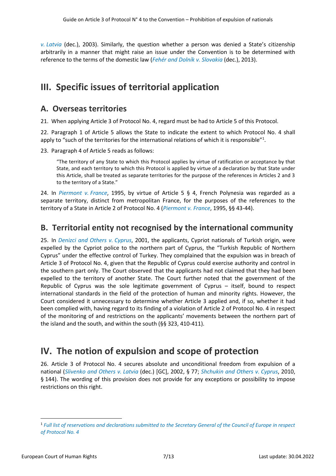*v. [Latvia](http://hudoc.echr.coe.int/eng?i=001-44514)* (dec.), 2003). Similarly, the question whether a person was denied a State's citizenship arbitrarily in a manner that might raise an issue under the Convention is to be determined with reference to the terms of the domestic law (*[Fehér and Dolník](http://hudoc.echr.coe.int/eng?i=001-121167) v. Slovakia* (dec.), 2013).

# <span id="page-6-0"></span>**III. Specific issues of territorial application**

## <span id="page-6-1"></span>**A. Overseas territories**

21. When applying Article 3 of Protocol No. 4, regard must be had to Article 5 of this Protocol.

22. Paragraph 1 of Article 5 allows the State to indicate the extent to which Protocol No. 4 shall apply to "such of the territories for the international relations of which it is responsible"<sup>1</sup>.

23. Paragraph 4 of Article 5 reads as follows:

"The territory of any State to which this Protocol applies by virtue of ratification or acceptance by that State, and each territory to which this Protocol is applied by virtue of a declaration by that State under this Article, shall be treated as separate territories for the purpose of the references in Articles 2 and 3 to the territory of a State."

24. In *[Piermont](http://hudoc.echr.coe.int/eng?i=001-57925) v. France*, 1995, by virtue of Article 5 § 4, French Polynesia was regarded as a separate territory, distinct from metropolitan France, for the purposes of the references to the territory of a State in Article 2 of Protocol No. 4 (*[Piermont](http://hudoc.echr.coe.int/eng?i=001-57925) v. France*, 1995, §§ 43-44).

## <span id="page-6-2"></span>**B. Territorial entity not recognised by the international community**

25. In *[Denizci and Others](http://hudoc.echr.coe.int/eng?i=001-59474) v. Cyprus*, 2001, the applicants, Cypriot nationals of Turkish origin, were expelled by the Cypriot police to the northern part of Cyprus, the "Turkish Republic of Northern Cyprus" under the effective control of Turkey. They complained that the expulsion was in breach of Article 3 of Protocol No. 4, given that the Republic of Cyprus could exercise authority and control in the southern part only. The Court observed that the applicants had not claimed that they had been expelled to the territory of another State. The Court further noted that the government of the Republic of Cyprus was the sole legitimate government of Cyprus – itself, bound to respect international standards in the field of the protection of human and minority rights. However, the Court considered it unnecessary to determine whether Article 3 applied and, if so, whether it had been complied with, having regard to its finding of a violation of Article 2 of Protocol No. 4 in respect of the monitoring of and restrictions on the applicants' movements between the northern part of the island and the south, and within the south (§§ 323, 410-411).

## <span id="page-6-3"></span>**IV. The notion of expulsion and scope of protection**

26. Article 3 of Protocol No. 4 secures absolute and unconditional freedom from expulsion of a national (*[Slivenko and Others](http://hudoc.echr.coe.int/fre?i=001-22231) v. Latvia* (dec.) [GC], 2002, § 77; *[Shchukin and Others](http://hudoc.echr.coe.int/eng?i=001-100093) v. Cyprus*, 2010, § 144). The wording of this provision does not provide for any exceptions or possibility to impose restrictions on this right.

<sup>1</sup> *Full list of reservations and declarations submitted to [the Secretary General of the Council of Europe in respect](https://www.coe.int/en/web/conventions/full-list/-/conventions/treaty/046/declarations?p_auth=1Gb2tzru)  [of Protocol No. 4](https://www.coe.int/en/web/conventions/full-list/-/conventions/treaty/046/declarations?p_auth=1Gb2tzru)*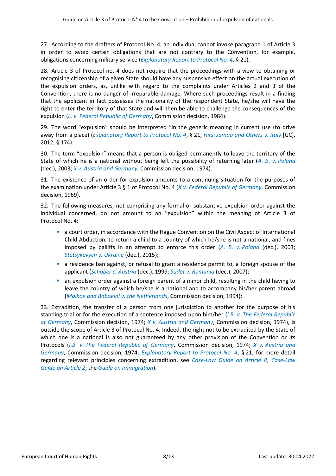27. According to the drafters of Protocol No. 4, an individual cannot invoke paragraph 1 of Article 3 in order to avoid certain obligations that are not contrary to the Convention, for example, obligations concerning military service (*[Explanatory Report to Protocol No. 4](https://rm.coe.int/16800c92c0)*, § 21).

28. Article 3 of Protocol no. 4 does not require that the proceedings with a view to obtaining or recognising citizenship of a given State should have any suspensive effect on the actual execution of the expulsion orders, as, unlike with regard to the complaints under Articles 2 and 3 of the Convention, there is no danger of irreparable damage. Where such proceedings result in a finding that the applicant in fact possesses the nationality of the respondent State, he/she will have the right to enter the territory of that State and will then be able to challenge the consequences of the expulsion (*L. v. [Federal Republic of Germany](https://hudoc.echr.coe.int/eng#{%22appno%22:[%2210564/83%22]})*, Commission decision, 1984).

29. The word "expulsion" should be interpreted "in the generic meaning in current use (to drive away from a place) (*[Explanatory Report to Protocol No. 4](https://rm.coe.int/16800c92c0)*, § 21; *[Hirsi Jamaa and Others](http://hudoc.echr.coe.int/eng?i=001-109231) v. Italy* [GC], 2012, § 174).

30. The term "expulsion" means that a person is obliged permanently to leave the territory of the State of which he is a national without being left the possibility of returning later (*A. B. v. [Poland](http://hudoc.echr.coe.int/eng?i=001-44112)* (dec.), 2003; *X v. Austria [and Germany](https://hudoc.echr.coe.int/eng#{"fulltext":["6189/73"],"documentcollectionid2":["GRANDCHAMBER","CHAMBER","DECISIONS"]})*, Commission decision, 1974).

31. The existence of an order for expulsion amounts to a continuing situation for the purposes of the examination under Article 3 § 1 of Protocol No. 4 (*X v. [Federal Republic of Germany](http://hudoc.echr.coe.int/eng?i=001-27925)*, Commission decision, 1969).

32. The following measures, not comprising any formal or substantive expulsion order against the individual concerned, do not amount to an "expulsion" within the meaning of Article 3 of Protocol No. 4:

- **■** a court order, in accordance with the Hague Convention on the Civil Aspect of International Child Abduction, to return a child to a country of which he/she is not a national, and fines imposed by bailiffs in an attempt to enforce this order (*A. B. v. [Poland](http://hudoc.echr.coe.int/eng?i=001-44112)* (dec.), 2003; *[Stetsykevych](http://hudoc.echr.coe.int/eng?i=001-158787) v. Ukraine* (dec.), 2015);
- **■** a residence ban against, or refusal to grant a residence permit to, a foreign spouse of the applicant (*[Schober c. Austria](http://hudoc.echr.coe.int/eng?i=001-4915)* (dec.), 1999; *Sadet v. [Romania](http://hudoc.echr.coe.int/eng?i=001-82543)* (dec.), 2007);
- **•** an expulsion order against a foreign parent of a minor child, resulting in the child having to leave the country of which he/she is a national and to accompany his/her parent abroad (*[Maikoe and Baboelal](http://hudoc.echr.coe.int/eng?i=001-2431) v. the Netherlands*, Commission decision, 1994);

33. Extradition, the transfer of a person from one jurisdiction to another for the purpose of his standing trial or for the execution of a sentence imposed upon him/her (*I.B. v. [The Federal Republic](http://hudoc.echr.coe.int/eng?i=001-3191)  [of Germany](http://hudoc.echr.coe.int/eng?i=001-3191)*, Commission decision, 1974; *X v. [Austria and Germany](https://hudoc.echr.coe.int/eng#{"fulltext":["6189/73"],"documentcollectionid2":["GRANDCHAMBER","CHAMBER","DECISIONS"]})*, Commission decision, 1974), is outside the scope of Article 3 of Protocol No. 4. Indeed, the right not to be extradited by the State of which one is a national is also not guaranteed by any other provision of the Convention or its Protocols (*I.B. v. [The Federal Republic of Germany](http://hudoc.echr.coe.int/eng?i=001-3191)*, Commission decision, 1974; *X v. [Austria and](https://hudoc.echr.coe.int/eng#{"fulltext":["6189/73"],"documentcollectionid2":["GRANDCHAMBER","CHAMBER","DECISIONS"]})  [Germany](https://hudoc.echr.coe.int/eng#{"fulltext":["6189/73"],"documentcollectionid2":["GRANDCHAMBER","CHAMBER","DECISIONS"]})*, Commission decision, 1974; *[Explanatory Report to Protocol No. 4](https://rm.coe.int/16800c92c0)*, § 21; for more detail regarding relevant principles concerning extradition, see *[Case-Law Guide on Article 8](https://www.echr.coe.int/Documents/Guide_Art_8_ENG.pdf)*; *[Case-Law](https://www.echr.coe.int/Documents/Guide_Art_2_ENG.pdf)  [Guide on Article 2](https://www.echr.coe.int/Documents/Guide_Art_2_ENG.pdf)*; the *[Guide on Immigration](https://www.echr.coe.int/Documents/Guide_Immigration_ENG.pdf)*).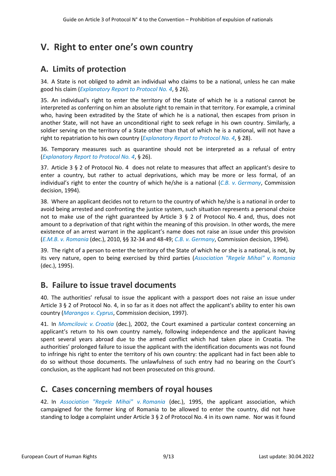# <span id="page-8-0"></span>**V. Right to enter one's own country**

## <span id="page-8-1"></span>**A. Limits of protection**

34. A State is not obliged to admit an individual who claims to be a national, unless he can make good his claim (*[Explanatory Report to Protocol No. 4](https://rm.coe.int/16800c92c0)*, § 26).

35. An individual's right to enter the territory of the State of which he is a national cannot be interpreted as conferring on him an absolute right to remain in that territory. For example, a criminal who, having been extradited by the State of which he is a national, then escapes from prison in another State, will not have an unconditional right to seek refuge in his own country. Similarly, a soldier serving on the territory of a State other than that of which he is a national, will not have a right to repatriation to his own country (*[Explanatory Report to Protocol No. 4](https://rm.coe.int/16800c92c0)*, § 28).

36. Temporary measures such as quarantine should not be interpreted as a refusal of entry (*[Explanatory Report to Protocol No. 4](https://rm.coe.int/16800c92c0)*, § 26).

37. Article 3 § 2 of Protocol No. 4 does not relate to measures that affect an applicant's desire to enter a country, but rather to actual deprivations, which may be more or less formal, of an individual's right to enter the country of which he/she is a national (*C.B. v. [Germany](http://hudoc.echr.coe.int/eng?i=001-2601)*, Commission decision, 1994).

38. Where an applicant decides not to return to the country of which he/she is a national in order to avoid being arrested and confronting the justice system, such situation represents a personal choice not to make use of the right guaranteed by Article 3 § 2 of Protocol No. 4 and, thus, does not amount to a deprivation of that right within the meaning of this provision. In other words, the mere existence of an arrest warrant in the applicant's name does not raise an issue under this provision (*E.M.B. v. [Romania](http://hudoc.echr.coe.int/eng?i=001-101154)* (dec.), 2010, §§ 32-34 and 48-49; *C.B. v. [Germany](http://hudoc.echr.coe.int/eng?i=001-2601)*, Commission decision, 1994).

39. The right of a person to enter the territory of the State of which he or she is a national, is not, by its very nature, open to being exercised by third parties (*[Association "Regele Mihai"](http://hudoc.echr.coe.int/eng?i=001-26685) v. Romania* (dec.), 1995).

## <span id="page-8-2"></span>**B. Failure to issue travel documents**

40. The authorities' refusal to issue the applicant with a passport does not raise an issue under Article 3 § 2 of Protocol No. 4, in so far as it does not affect the applicant's ability to enter his own country (*[Marangos](http://hudoc.echr.coe.int/eng?i=001-3703) v. Cyprus*, Commission decision, 1997).

41. In *[Momcilovic](http://hudoc.echr.coe.int/eng?i=001-22641) v. Croatia* (dec.), 2002, the Court examined a particular context concerning an applicant's return to his own country namely, following independence and the applicant having spent several years abroad due to the armed conflict which had taken place in Croatia. The authorities' prolonged failure to issue the applicant with the identification documents was not found to infringe his right to enter the territory of his own country: the applicant had in fact been able to do so without those documents. The unlawfulness of such entry had no bearing on the Court's conclusion, as the applicant had not been prosecuted on this ground.

## <span id="page-8-3"></span>**C. Cases concerning members of royal houses**

42. In *[Association "Regele Mihai"](http://hudoc.echr.coe.int/eng?i=001-26685) v. Romania* (dec.), 1995, the applicant association, which campaigned for the former king of Romania to be allowed to enter the country, did not have standing to lodge a complaint under Article 3 § 2 of Protocol No. 4 in its own name. Nor was it found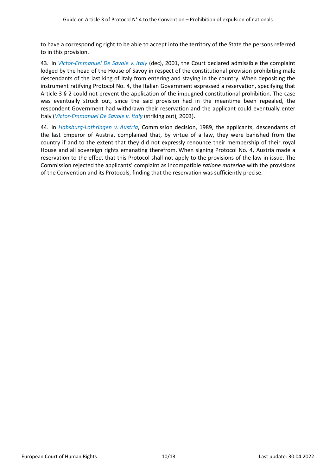to have a corresponding right to be able to accept into the territory of the State the persons referred to in this provision.

43. In *[Victor-Emmanuel De Savoie](http://hudoc.echr.coe.int/eng?i=001-32564) v. Italy* (dec), 2001, the Court declared admissible the complaint lodged by the head of the House of Savoy in respect of the constitutional provision prohibiting male descendants of the last king of Italy from entering and staying in the country. When depositing the instrument ratifying Protocol No. 4, the Italian Government expressed a reservation, specifying that Article 3 § 2 could not prevent the application of the impugned constitutional prohibition. The case was eventually struck out, since the said provision had in the meantime been repealed, the respondent Government had withdrawn their reservation and the applicant could eventually enter Italy (*[Victor-Emmanuel De Savoie](http://hudoc.echr.coe.int/eng?i=001-65609) v. Italy* (striking out), 2003).

44. In *[Habsburg-Lothringen](http://hudoc.echr.coe.int/eng?i=001-1149) v. Austria*, Commission decision, 1989, the applicants, descendants of the last Emperor of Austria, complained that, by virtue of a law, they were banished from the country if and to the extent that they did not expressly renounce their membership of their royal House and all sovereign rights emanating therefrom. When signing Protocol No. 4, Austria made a reservation to the effect that this Protocol shall not apply to the provisions of the law in issue. The Commission rejected the applicants' complaint as incompatible *ratione materiae* with the provisions of the Convention and its Protocols, finding that the reservation was sufficiently precise.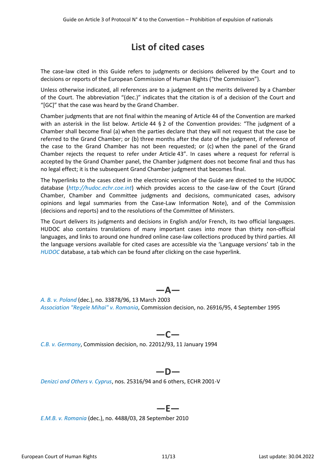# **List of cited cases**

<span id="page-10-0"></span>The case-law cited in this Guide refers to judgments or decisions delivered by the Court and to decisions or reports of the European Commission of Human Rights ("the Commission").

Unless otherwise indicated, all references are to a judgment on the merits delivered by a Chamber of the Court. The abbreviation "(dec.)" indicates that the citation is of a decision of the Court and "[GC]" that the case was heard by the Grand Chamber.

Chamber judgments that are not final within the meaning of Article 44 of the Convention are marked with an asterisk in the list below. Article 44 § 2 of the Convention provides: "The judgment of a Chamber shall become final (a) when the parties declare that they will not request that the case be referred to the Grand Chamber; or (b) three months after the date of the judgment, if reference of the case to the Grand Chamber has not been requested; or (c) when the panel of the Grand Chamber rejects the request to refer under Article 43". In cases where a request for referral is accepted by the Grand Chamber panel, the Chamber judgment does not become final and thus has no legal effect; it is the subsequent Grand Chamber judgment that becomes final.

The hyperlinks to the cases cited in the electronic version of the Guide are directed to the HUDOC database (*[http://hudoc.echr.coe.int](http://hudoc.echr.coe.int/)*) which provides access to the case-law of the Court (Grand Chamber, Chamber and Committee judgments and decisions, communicated cases, advisory opinions and legal summaries from the Case-Law Information Note), and of the Commission (decisions and reports) and to the resolutions of the Committee of Ministers.

The Court delivers its judgments and decisions in English and/or French, its two official languages. HUDOC also contains translations of many important cases into more than thirty non-official languages, and links to around one hundred online case-law collections produced by third parties. All the language versions available for cited cases are accessible via the 'Language versions' tab in the *[HUDOC](https://hudoc.echr.coe.int/fre)* database, a tab which can be found after clicking on the case hyperlink.

*A. B. v. [Poland](http://hudoc.echr.coe.int/eng?i=001-44112)* (dec.), no. 33878/96, 13 March 2003 *[Association "Regele Mihai"](http://hudoc.echr.coe.int/eng?i=001-26685) v. Romania*, Commission decision, no. 26916/95, 4 September 1995

**—A—**

## **—C—**

*C.B. v. [Germany](http://hudoc.echr.coe.int/eng?i=001-2601)*, Commission decision, no. 22012/93, 11 January 1994

### **—D—**

*[Denizci and Others](http://hudoc.echr.coe.int/eng?i=001-59474) v. Cyprus*, nos. 25316/94 and 6 others, ECHR 2001-V

#### **—E—**

*E.M.B. v. [Romania](http://hudoc.echr.coe.int/eng?i=001-101154)* (dec.), no. 4488/03, 28 September 2010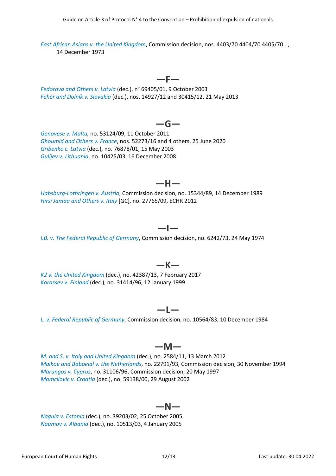*East African Asians v. [the United Kingdom](http://hudoc.echr.coe.int/eng?i=001-73658)*, Commission decision, nos. 4403/70 4404/70 4405/70..., 14 December 1973

#### **—F—**

**—G—**

*[Fedorova and Others](http://hudoc.echr.coe.int/eng?i=001-44514) v. Latvia* (dec.), n° 69405/01, 9 October 2003 *[Fehér and Dolník](http://hudoc.echr.coe.int/eng?i=001-121167) v. Slovakia* (dec.), nos. 14927/12 and 30415/12, 21 May 2013

#### *[Genovese](http://hudoc.echr.coe.int/eng?i=001-106785) v. Malta,* no. 53124/09, 11 October 2011 *[Ghoumid and Others](http://hudoc.echr.coe.int/eng?i=001-203164) v. France*, nos. 52273/16 and 4 others, 25 June 2020 *[Gribenko c. Latvia](http://hudoc.echr.coe.int/eng?i=001-44239)* (dec.), no. 76878/01, 15 May 2003 *Gulijev v. [Lithuania](http://hudoc.echr.coe.int/eng?i=001-90270)*, no. 10425/03, 16 December 2008

*[Habsburg-Lothringen](http://hudoc.echr.coe.int/eng?i=001-1149) v. Austria*, Commission decision, no. 15344/89, 14 December 1989 *[Hirsi Jamaa and Others](http://hudoc.echr.coe.int/eng?i=001-109231) v. Italy* [GC], no. 27765/09, ECHR 2012

#### **—I—**

**—K—**

**—H—**

*I.B. v. [The Federal Republic of Germany](http://hudoc.echr.coe.int/eng?i=001-3191)*, Commission decision, no. 6242/73, 24 May 1974

*K2 v. [the United Kingdom](http://hudoc.echr.coe.int/eng?i=001-172143)* (dec.), no. 42387/13, 7 February 2017 *[Karassev v.](http://hudoc.echr.coe.int/eng?i=001-4592) Finland* (dec.), no. 31414/96, 12 January 1999

#### *L. v. [Federal Republic of Germany](https://hudoc.echr.coe.int/eng#{%22appno%22:[%2210564/83%22]})*, Commission decision, no. 10564/83, 10 December 1984

#### **—M—**

**—L—**

*M. and S. v. [Italy and United Kingdom](http://hudoc.echr.coe.int/eng?i=001-110195)* (dec.), no. 2584/11, 13 March 2012 *[Maikoe and Baboelal](http://hudoc.echr.coe.int/eng?i=001-2431) v. the Netherlands*, no. 22791/93, Commission decision, 30 November 1994 *[Marangos](http://hudoc.echr.coe.int/eng?i=001-3703) v. Cyprus*, no. 31106/96, Commission decision, 20 May 1997 *[Momcilovic](http://hudoc.echr.coe.int/eng?i=001-22641) v. Croatia* (dec.), no. 59138/00, 29 August 2002

#### **—N—**

*Nagula v. [Estonia](http://hudoc.echr.coe.int/fre?i=001-71083)* (dec.), no. 39203/02, 25 October 2005 *[Naumov](http://hudoc.echr.coe.int/eng?i=001-68206) v. Albania* (dec.), no. 10513/03, 4 January 2005